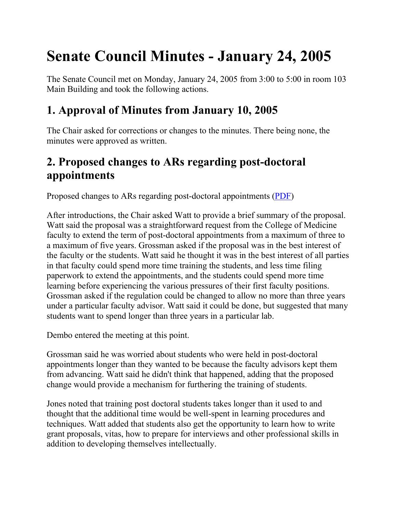# **Senate Council Minutes - January 24, 2005**

The Senate Council met on Monday, January 24, 2005 from 3:00 to 5:00 in room 103 Main Building and took the following actions.

# **1. Approval of Minutes from January 10, 2005**

The Chair asked for corrections or changes to the minutes. There being none, the minutes were approved as written.

# **2. Proposed changes to ARs regarding post-doctoral appointments**

Proposed changes to ARs regarding post-doctoral appointments [\(PDF\)](file://nemo.ad.uky.edu/senate/usc/files/AR%20II-4%200%201%20PostDocAppointments.pdf)

After introductions, the Chair asked Watt to provide a brief summary of the proposal. Watt said the proposal was a straightforward request from the College of Medicine faculty to extend the term of post-doctoral appointments from a maximum of three to a maximum of five years. Grossman asked if the proposal was in the best interest of the faculty or the students. Watt said he thought it was in the best interest of all parties in that faculty could spend more time training the students, and less time filing paperwork to extend the appointments, and the students could spend more time learning before experiencing the various pressures of their first faculty positions. Grossman asked if the regulation could be changed to allow no more than three years under a particular faculty advisor. Watt said it could be done, but suggested that many students want to spend longer than three years in a particular lab.

Dembo entered the meeting at this point.

Grossman said he was worried about students who were held in post-doctoral appointments longer than they wanted to be because the faculty advisors kept them from advancing. Watt said he didn't think that happened, adding that the proposed change would provide a mechanism for furthering the training of students.

Jones noted that training post doctoral students takes longer than it used to and thought that the additional time would be well-spent in learning procedures and techniques. Watt added that students also get the opportunity to learn how to write grant proposals, vitas, how to prepare for interviews and other professional skills in addition to developing themselves intellectually.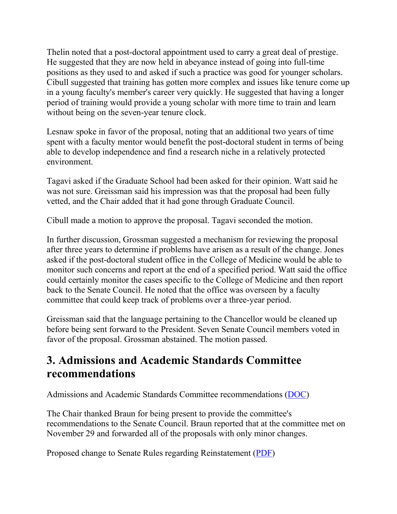Thelin noted that a post-doctoral appointment used to carry a great deal of prestige. He suggested that they are now held in abeyance instead of going into full-time positions as they used to and asked if such a practice was good for younger scholars. Cibull suggested that training has gotten more complex and issues like tenure come up in a young faculty's member's career very quickly. He suggested that having a longer period of training would provide a young scholar with more time to train and learn without being on the seven-year tenure clock.

Lesnaw spoke in favor of the proposal, noting that an additional two years of time spent with a faculty mentor would benefit the post-doctoral student in terms of being able to develop independence and find a research niche in a relatively protected environment.

Tagavi asked if the Graduate School had been asked for their opinion. Watt said he was not sure. Greissman said his impression was that the proposal had been fully vetted, and the Chair added that it had gone through Graduate Council.

Cibull made a motion to approve the proposal. Tagavi seconded the motion.

In further discussion, Grossman suggested a mechanism for reviewing the proposal after three years to determine if problems have arisen as a result of the change. Jones asked if the post-doctoral student office in the College of Medicine would be able to monitor such concerns and report at the end of a specified period. Watt said the office could certainly monitor the cases specific to the College of Medicine and then report back to the Senate Council. He noted that the office was overseen by a faculty committee that could keep track of problems over a three-year period.

Greissman said that the language pertaining to the Chancellor would be cleaned up before being sent forward to the President. Seven Senate Council members voted in favor of the proposal. Grossman abstained. The motion passed.

## **3. Admissions and Academic Standards Committee recommendations**

Admissions and Academic Standards Committee recommendations [\(DOC\)](file://nemo.ad.uky.edu/senate/usc/files/AASC_Minutes.doc)

The Chair thanked Braun for being present to provide the committee's recommendations to the Senate Council. Braun reported that at the committee met on November 29 and forwarded all of the proposals with only minor changes.

Proposed change to Senate Rules regarding Reinstatement [\(PDF\)](file://nemo.ad.uky.edu/senate/usc/files/SR%205.3.1.4%20Reinstatement%20Recommendation.pdf)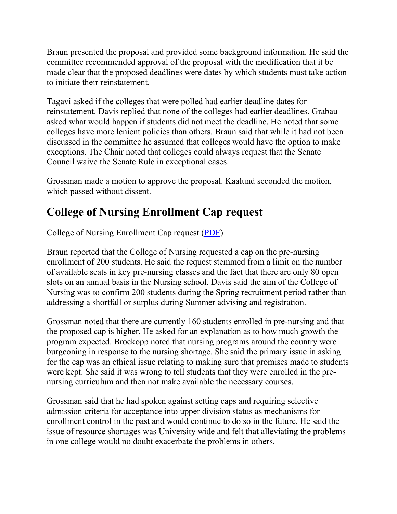Braun presented the proposal and provided some background information. He said the committee recommended approval of the proposal with the modification that it be made clear that the proposed deadlines were dates by which students must take action to initiate their reinstatement.

Tagavi asked if the colleges that were polled had earlier deadline dates for reinstatement. Davis replied that none of the colleges had earlier deadlines. Grabau asked what would happen if students did not meet the deadline. He noted that some colleges have more lenient policies than others. Braun said that while it had not been discussed in the committee he assumed that colleges would have the option to make exceptions. The Chair noted that colleges could always request that the Senate Council waive the Senate Rule in exceptional cases.

Grossman made a motion to approve the proposal. Kaalund seconded the motion, which passed without dissent.

# **College of Nursing Enrollment Cap request**

College of Nursing Enrollment Cap request [\(PDF\)](file://nemo.ad.uky.edu/senate/usc/files/Nursing%20Enrollment%20Cap%20Request.pdf)

Braun reported that the College of Nursing requested a cap on the pre-nursing enrollment of 200 students. He said the request stemmed from a limit on the number of available seats in key pre-nursing classes and the fact that there are only 80 open slots on an annual basis in the Nursing school. Davis said the aim of the College of Nursing was to confirm 200 students during the Spring recruitment period rather than addressing a shortfall or surplus during Summer advising and registration.

Grossman noted that there are currently 160 students enrolled in pre-nursing and that the proposed cap is higher. He asked for an explanation as to how much growth the program expected. Brockopp noted that nursing programs around the country were burgeoning in response to the nursing shortage. She said the primary issue in asking for the cap was an ethical issue relating to making sure that promises made to students were kept. She said it was wrong to tell students that they were enrolled in the prenursing curriculum and then not make available the necessary courses.

Grossman said that he had spoken against setting caps and requiring selective admission criteria for acceptance into upper division status as mechanisms for enrollment control in the past and would continue to do so in the future. He said the issue of resource shortages was University wide and felt that alleviating the problems in one college would no doubt exacerbate the problems in others.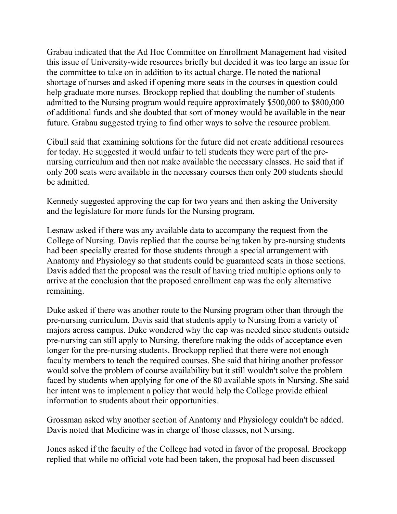Grabau indicated that the Ad Hoc Committee on Enrollment Management had visited this issue of University-wide resources briefly but decided it was too large an issue for the committee to take on in addition to its actual charge. He noted the national shortage of nurses and asked if opening more seats in the courses in question could help graduate more nurses. Brockopp replied that doubling the number of students admitted to the Nursing program would require approximately \$500,000 to \$800,000 of additional funds and she doubted that sort of money would be available in the near future. Grabau suggested trying to find other ways to solve the resource problem.

Cibull said that examining solutions for the future did not create additional resources for today. He suggested it would unfair to tell students they were part of the prenursing curriculum and then not make available the necessary classes. He said that if only 200 seats were available in the necessary courses then only 200 students should be admitted.

Kennedy suggested approving the cap for two years and then asking the University and the legislature for more funds for the Nursing program.

Lesnaw asked if there was any available data to accompany the request from the College of Nursing. Davis replied that the course being taken by pre-nursing students had been specially created for those students through a special arrangement with Anatomy and Physiology so that students could be guaranteed seats in those sections. Davis added that the proposal was the result of having tried multiple options only to arrive at the conclusion that the proposed enrollment cap was the only alternative remaining.

Duke asked if there was another route to the Nursing program other than through the pre-nursing curriculum. Davis said that students apply to Nursing from a variety of majors across campus. Duke wondered why the cap was needed since students outside pre-nursing can still apply to Nursing, therefore making the odds of acceptance even longer for the pre-nursing students. Brockopp replied that there were not enough faculty members to teach the required courses. She said that hiring another professor would solve the problem of course availability but it still wouldn't solve the problem faced by students when applying for one of the 80 available spots in Nursing. She said her intent was to implement a policy that would help the College provide ethical information to students about their opportunities.

Grossman asked why another section of Anatomy and Physiology couldn't be added. Davis noted that Medicine was in charge of those classes, not Nursing.

Jones asked if the faculty of the College had voted in favor of the proposal. Brockopp replied that while no official vote had been taken, the proposal had been discussed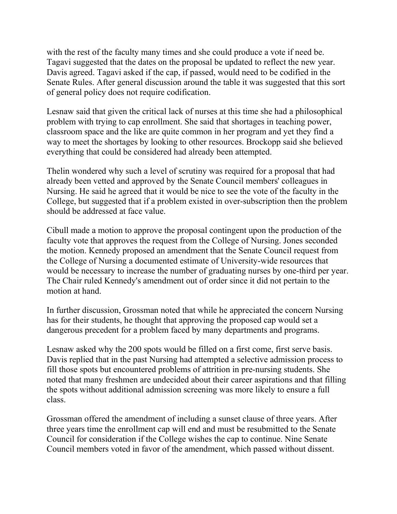with the rest of the faculty many times and she could produce a vote if need be. Tagavi suggested that the dates on the proposal be updated to reflect the new year. Davis agreed. Tagavi asked if the cap, if passed, would need to be codified in the Senate Rules. After general discussion around the table it was suggested that this sort of general policy does not require codification.

Lesnaw said that given the critical lack of nurses at this time she had a philosophical problem with trying to cap enrollment. She said that shortages in teaching power, classroom space and the like are quite common in her program and yet they find a way to meet the shortages by looking to other resources. Brockopp said she believed everything that could be considered had already been attempted.

Thelin wondered why such a level of scrutiny was required for a proposal that had already been vetted and approved by the Senate Council members' colleagues in Nursing. He said he agreed that it would be nice to see the vote of the faculty in the College, but suggested that if a problem existed in over-subscription then the problem should be addressed at face value.

Cibull made a motion to approve the proposal contingent upon the production of the faculty vote that approves the request from the College of Nursing. Jones seconded the motion. Kennedy proposed an amendment that the Senate Council request from the College of Nursing a documented estimate of University-wide resources that would be necessary to increase the number of graduating nurses by one-third per year. The Chair ruled Kennedy's amendment out of order since it did not pertain to the motion at hand.

In further discussion, Grossman noted that while he appreciated the concern Nursing has for their students, he thought that approving the proposed cap would set a dangerous precedent for a problem faced by many departments and programs.

Lesnaw asked why the 200 spots would be filled on a first come, first serve basis. Davis replied that in the past Nursing had attempted a selective admission process to fill those spots but encountered problems of attrition in pre-nursing students. She noted that many freshmen are undecided about their career aspirations and that filling the spots without additional admission screening was more likely to ensure a full class.

Grossman offered the amendment of including a sunset clause of three years. After three years time the enrollment cap will end and must be resubmitted to the Senate Council for consideration if the College wishes the cap to continue. Nine Senate Council members voted in favor of the amendment, which passed without dissent.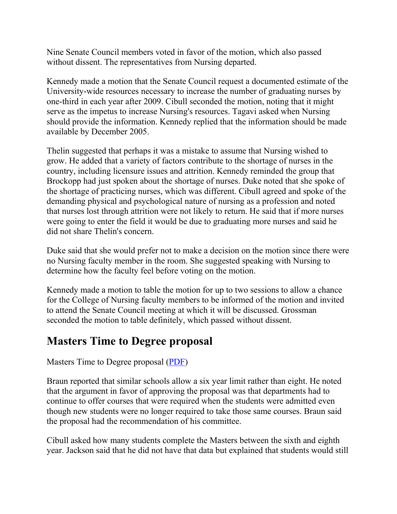Nine Senate Council members voted in favor of the motion, which also passed without dissent. The representatives from Nursing departed.

Kennedy made a motion that the Senate Council request a documented estimate of the University-wide resources necessary to increase the number of graduating nurses by one-third in each year after 2009. Cibull seconded the motion, noting that it might serve as the impetus to increase Nursing's resources. Tagavi asked when Nursing should provide the information. Kennedy replied that the information should be made available by December 2005.

Thelin suggested that perhaps it was a mistake to assume that Nursing wished to grow. He added that a variety of factors contribute to the shortage of nurses in the country, including licensure issues and attrition. Kennedy reminded the group that Brockopp had just spoken about the shortage of nurses. Duke noted that she spoke of the shortage of practicing nurses, which was different. Cibull agreed and spoke of the demanding physical and psychological nature of nursing as a profession and noted that nurses lost through attrition were not likely to return. He said that if more nurses were going to enter the field it would be due to graduating more nurses and said he did not share Thelin's concern.

Duke said that she would prefer not to make a decision on the motion since there were no Nursing faculty member in the room. She suggested speaking with Nursing to determine how the faculty feel before voting on the motion.

Kennedy made a motion to table the motion for up to two sessions to allow a chance for the College of Nursing faculty members to be informed of the motion and invited to attend the Senate Council meeting at which it will be discussed. Grossman seconded the motion to table definitely, which passed without dissent.

## **Masters Time to Degree proposal**

Masters Time to Degree proposal [\(PDF\)](file://nemo.ad.uky.edu/senate/usc/files/Masters%20Time%20to%20Degree%20Changes.pdf)

Braun reported that similar schools allow a six year limit rather than eight. He noted that the argument in favor of approving the proposal was that departments had to continue to offer courses that were required when the students were admitted even though new students were no longer required to take those same courses. Braun said the proposal had the recommendation of his committee.

Cibull asked how many students complete the Masters between the sixth and eighth year. Jackson said that he did not have that data but explained that students would still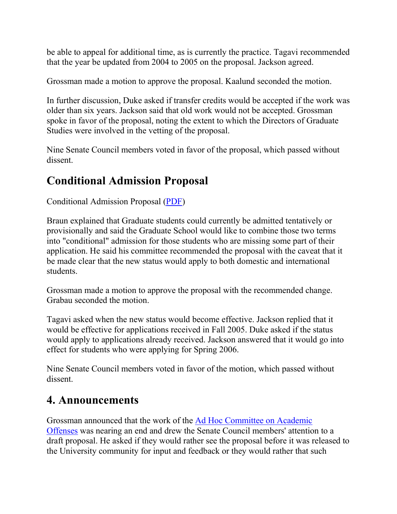be able to appeal for additional time, as is currently the practice. Tagavi recommended that the year be updated from 2004 to 2005 on the proposal. Jackson agreed.

Grossman made a motion to approve the proposal. Kaalund seconded the motion.

In further discussion, Duke asked if transfer credits would be accepted if the work was older than six years. Jackson said that old work would not be accepted. Grossman spoke in favor of the proposal, noting the extent to which the Directors of Graduate Studies were involved in the vetting of the proposal.

Nine Senate Council members voted in favor of the proposal, which passed without dissent.

# **Conditional Admission Proposal**

Conditional Admission Proposal [\(PDF\)](file://nemo.ad.uky.edu/senate/usc/files/Conditional%20Admission%20Status.pdf)

Braun explained that Graduate students could currently be admitted tentatively or provisionally and said the Graduate School would like to combine those two terms into "conditional" admission for those students who are missing some part of their application. He said his committee recommended the proposal with the caveat that it be made clear that the new status would apply to both domestic and international students.

Grossman made a motion to approve the proposal with the recommended change. Grabau seconded the motion.

Tagavi asked when the new status would become effective. Jackson replied that it would be effective for applications received in Fall 2005. Duke asked if the status would apply to applications already received. Jackson answered that it would go into effect for students who were applying for Spring 2006.

Nine Senate Council members voted in favor of the motion, which passed without dissent.

## **4. Announcements**

Grossman announced that the work of the [Ad Hoc Committee on Academic](file://nemo.ad.uky.edu/senate/usc/committees_councils/ad_hoc_committees/acad_offenses_committee.htm)  [Offenses](file://nemo.ad.uky.edu/senate/usc/committees_councils/ad_hoc_committees/acad_offenses_committee.htm) was nearing an end and drew the Senate Council members' attention to a draft proposal. He asked if they would rather see the proposal before it was released to the University community for input and feedback or they would rather that such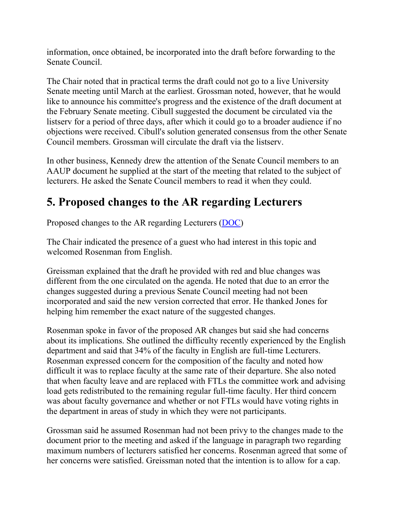information, once obtained, be incorporated into the draft before forwarding to the Senate Council.

The Chair noted that in practical terms the draft could not go to a live University Senate meeting until March at the earliest. Grossman noted, however, that he would like to announce his committee's progress and the existence of the draft document at the February Senate meeting. Cibull suggested the document be circulated via the listserv for a period of three days, after which it could go to a broader audience if no objections were received. Cibull's solution generated consensus from the other Senate Council members. Grossman will circulate the draft via the listserv.

In other business, Kennedy drew the attention of the Senate Council members to an AAUP document he supplied at the start of the meeting that related to the subject of lecturers. He asked the Senate Council members to read it when they could.

# **5. Proposed changes to the AR regarding Lecturers**

Proposed changes to the AR regarding Lecturers [\(DOC\)](file://nemo.ad.uky.edu/senate/usc/files/lecturer%20faculty%20-%20revised%20AR%20-%20revision%2012-23-04%20(AR%20II-1%200%201%20page%20II-12).doc)

The Chair indicated the presence of a guest who had interest in this topic and welcomed Rosenman from English.

Greissman explained that the draft he provided with red and blue changes was different from the one circulated on the agenda. He noted that due to an error the changes suggested during a previous Senate Council meeting had not been incorporated and said the new version corrected that error. He thanked Jones for helping him remember the exact nature of the suggested changes.

Rosenman spoke in favor of the proposed AR changes but said she had concerns about its implications. She outlined the difficulty recently experienced by the English department and said that 34% of the faculty in English are full-time Lecturers. Rosenman expressed concern for the composition of the faculty and noted how difficult it was to replace faculty at the same rate of their departure. She also noted that when faculty leave and are replaced with FTLs the committee work and advising load gets redistributed to the remaining regular full-time faculty. Her third concern was about faculty governance and whether or not FTLs would have voting rights in the department in areas of study in which they were not participants.

Grossman said he assumed Rosenman had not been privy to the changes made to the document prior to the meeting and asked if the language in paragraph two regarding maximum numbers of lecturers satisfied her concerns. Rosenman agreed that some of her concerns were satisfied. Greissman noted that the intention is to allow for a cap.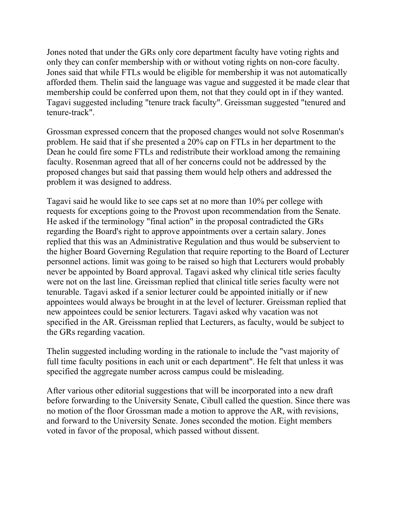Jones noted that under the GRs only core department faculty have voting rights and only they can confer membership with or without voting rights on non-core faculty. Jones said that while FTLs would be eligible for membership it was not automatically afforded them. Thelin said the language was vague and suggested it be made clear that membership could be conferred upon them, not that they could opt in if they wanted. Tagavi suggested including "tenure track faculty". Greissman suggested "tenured and tenure-track".

Grossman expressed concern that the proposed changes would not solve Rosenman's problem. He said that if she presented a 20% cap on FTLs in her department to the Dean he could fire some FTLs and redistribute their workload among the remaining faculty. Rosenman agreed that all of her concerns could not be addressed by the proposed changes but said that passing them would help others and addressed the problem it was designed to address.

Tagavi said he would like to see caps set at no more than 10% per college with requests for exceptions going to the Provost upon recommendation from the Senate. He asked if the terminology "final action" in the proposal contradicted the GRs regarding the Board's right to approve appointments over a certain salary. Jones replied that this was an Administrative Regulation and thus would be subservient to the higher Board Governing Regulation that require reporting to the Board of Lecturer personnel actions. limit was going to be raised so high that Lecturers would probably never be appointed by Board approval. Tagavi asked why clinical title series faculty were not on the last line. Greissman replied that clinical title series faculty were not tenurable. Tagavi asked if a senior lecturer could be appointed initially or if new appointees would always be brought in at the level of lecturer. Greissman replied that new appointees could be senior lecturers. Tagavi asked why vacation was not specified in the AR. Greissman replied that Lecturers, as faculty, would be subject to the GRs regarding vacation.

Thelin suggested including wording in the rationale to include the "vast majority of full time faculty positions in each unit or each department". He felt that unless it was specified the aggregate number across campus could be misleading.

After various other editorial suggestions that will be incorporated into a new draft before forwarding to the University Senate, Cibull called the question. Since there was no motion of the floor Grossman made a motion to approve the AR, with revisions, and forward to the University Senate. Jones seconded the motion. Eight members voted in favor of the proposal, which passed without dissent.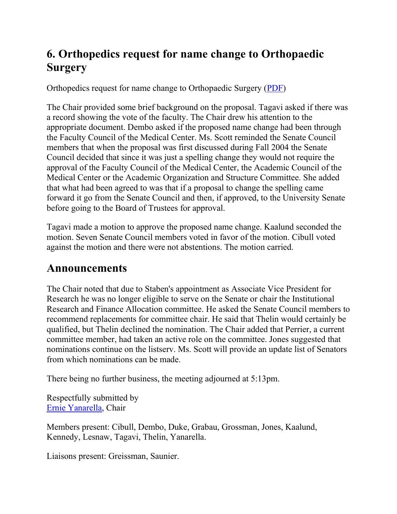# **6. Orthopedics request for name change to Orthopaedic Surgery**

Orthopedics request for name change to Orthopaedic Surgery [\(PDF\)](file://nemo.ad.uky.edu/senate/usc/files/Orthopedics%20Dept%20Name%20Change.pdf)

The Chair provided some brief background on the proposal. Tagavi asked if there was a record showing the vote of the faculty. The Chair drew his attention to the appropriate document. Dembo asked if the proposed name change had been through the Faculty Council of the Medical Center. Ms. Scott reminded the Senate Council members that when the proposal was first discussed during Fall 2004 the Senate Council decided that since it was just a spelling change they would not require the approval of the Faculty Council of the Medical Center, the Academic Council of the Medical Center or the Academic Organization and Structure Committee. She added that what had been agreed to was that if a proposal to change the spelling came forward it go from the Senate Council and then, if approved, to the University Senate before going to the Board of Trustees for approval.

Tagavi made a motion to approve the proposed name change. Kaalund seconded the motion. Seven Senate Council members voted in favor of the motion. Cibull voted against the motion and there were not abstentions. The motion carried.

## **Announcements**

The Chair noted that due to Staben's appointment as Associate Vice President for Research he was no longer eligible to serve on the Senate or chair the Institutional Research and Finance Allocation committee. He asked the Senate Council members to recommend replacements for committee chair. He said that Thelin would certainly be qualified, but Thelin declined the nomination. The Chair added that Perrier, a current committee member, had taken an active role on the committee. Jones suggested that nominations continue on the listserv. Ms. Scott will provide an update list of Senators from which nominations can be made.

There being no further business, the meeting adjourned at 5:13pm.

Respectfully submitted by [Ernie Yanarella,](mailto:ejyana@email.uky.edu) Chair

Members present: Cibull, Dembo, Duke, Grabau, Grossman, Jones, Kaalund, Kennedy, Lesnaw, Tagavi, Thelin, Yanarella.

Liaisons present: Greissman, Saunier.